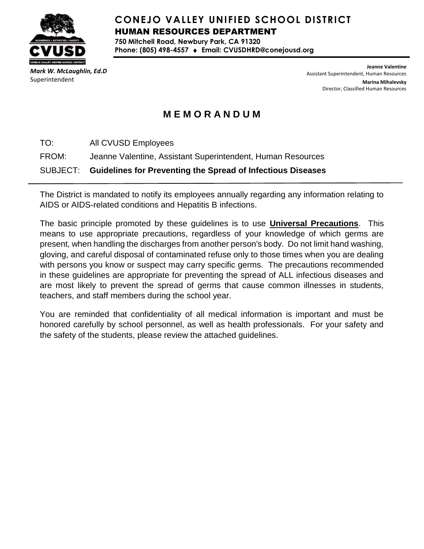

# **CONEJO VALLEY UNIFIED SCHOOL DISTRICT** HUMAN RESOURCES DEPARTMENT

**750 Mitchell Road, Newbury Park, CA 91320 Phone: (805) 498-4557 Email: CVUSDHRD@conejousd.org**

*Mark W. McLaughlin, Ed.D* Superintendent

**Jeanne Valentine** Assistant Superintendent, Human Resources **Marina Mihalevsky** Director, Classified Human Resources

# **M E M O R A N D U M**

TO: All CVUSD Employees

FROM: Jeanne Valentine, Assistant Superintendent, Human Resources

SUBJECT: **Guidelines for Preventing the Spread of Infectious Diseases**

The District is mandated to notify its employees annually regarding any information relating to AIDS or AIDS-related conditions and Hepatitis B infections.

The basic principle promoted by these guidelines is to use **Universal Precautions**. This means to use appropriate precautions, regardless of your knowledge of which germs are present, when handling the discharges from another person's body. Do not limit hand washing, gloving, and careful disposal of contaminated refuse only to those times when you are dealing with persons you know or suspect may carry specific germs. The precautions recommended in these guidelines are appropriate for preventing the spread of ALL infectious diseases and are most likely to prevent the spread of germs that cause common illnesses in students, teachers, and staff members during the school year.

You are reminded that confidentiality of all medical information is important and must be honored carefully by school personnel, as well as health professionals. For your safety and the safety of the students, please review the attached guidelines.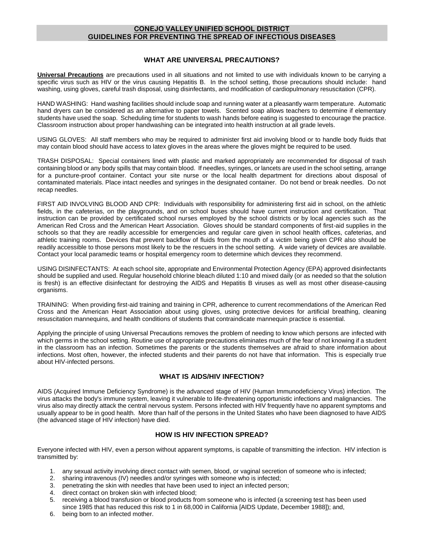### **CONEJO VALLEY UNIFIED SCHOOL DISTRICT GUIDELINES FOR PREVENTING THE SPREAD OF INFECTIOUS DISEASES**

#### **WHAT ARE UNIVERSAL PRECAUTIONS?**

**Universal Precautions** are precautions used in all situations and not limited to use with individuals known to be carrying a specific virus such as HIV or the virus causing Hepatitis B. In the school setting, those precautions should include: hand washing, using gloves, careful trash disposal, using disinfectants, and modification of cardiopulmonary resuscitation (CPR).

HAND WASHING: Hand washing facilities should include soap and running water at a pleasantly warm temperature. Automatic hand dryers can be considered as an alternative to paper towels. Scented soap allows teachers to determine if elementary students have used the soap. Scheduling time for students to wash hands before eating is suggested to encourage the practice. Classroom instruction about proper handwashing can be integrated into health instruction at all grade levels.

USING GLOVES: All staff members who may be required to administer first aid involving blood or to handle body fluids that may contain blood should have access to latex gloves in the areas where the gloves might be required to be used.

TRASH DISPOSAL: Special containers lined with plastic and marked appropriately are recommended for disposal of trash containing blood or any body spills that may contain blood. If needles, syringes, or lancets are used in the school setting, arrange for a puncture-proof container. Contact your site nurse or the local health department for directions about disposal of contaminated materials. Place intact needles and syringes in the designated container. Do not bend or break needles. Do not recap needles.

FIRST AID INVOLVING BLOOD AND CPR: Individuals with responsibility for administering first aid in school, on the athletic fields, in the cafeterias, on the playgrounds, and on school buses should have current instruction and certification. That instruction can be provided by certificated school nurses employed by the school districts or by local agencies such as the American Red Cross and the American Heart Association. Gloves should be standard components of first-aid supplies in the schools so that they are readily accessible for emergencies and regular care given in school health offices, cafeterias, and athletic training rooms. Devices that prevent backflow of fluids from the mouth of a victim being given CPR also should be readily accessible to those persons most likely to be the rescuers in the school setting. A wide variety of devices are available. Contact your local paramedic teams or hospital emergency room to determine which devices they recommend.

USING DISINFECTANTS: At each school site, appropriate and Environmental Protection Agency (EPA) approved disinfectants should be supplied and used. Regular household chlorine bleach diluted 1:10 and mixed daily (or as needed so that the solution is fresh) is an effective disinfectant for destroying the AIDS and Hepatitis B viruses as well as most other disease-causing organisms.

TRAINING: When providing first-aid training and training in CPR, adherence to current recommendations of the American Red Cross and the American Heart Association about using gloves, using protective devices for artificial breathing, cleaning resuscitation mannequins, and health conditions of students that contraindicate mannequin practice is essential.

Applying the principle of using Universal Precautions removes the problem of needing to know which persons are infected with which germs in the school setting. Routine use of appropriate precautions eliminates much of the fear of not knowing if a student in the classroom has an infection. Sometimes the parents or the students themselves are afraid to share information about infections. Most often, however, the infected students and their parents do not have that information. This is especially true about HIV-infected persons.

### **WHAT IS AIDS/HIV INFECTION?**

AIDS (Acquired Immune Deficiency Syndrome) is the advanced stage of HIV (Human Immunodeficiency Virus) infection. The virus attacks the body's immune system, leaving it vulnerable to life-threatening opportunistic infections and malignancies. The virus also may directly attack the central nervous system. Persons infected with HIV frequently have no apparent symptoms and usually appear to be in good health. More than half of the persons in the United States who have been diagnosed to have AIDS (the advanced stage of HIV infection) have died.

### **HOW IS HIV INFECTION SPREAD?**

Everyone infected with HIV, even a person without apparent symptoms, is capable of transmitting the infection. HIV infection is transmitted by:

- 1. any sexual activity involving direct contact with semen, blood, or vaginal secretion of someone who is infected;
- 2. sharing intravenous (IV) needles and/or syringes with someone who is infected;
- 3. penetrating the skin with needles that have been used to inject an infected person;
- 4. direct contact on broken skin with infected blood;
- 5. receiving a blood transfusion or blood products from someone who is infected (a screening test has been used since 1985 that has reduced this risk to 1 in 68,000 in California [AIDS Update, December 1988]); and,
- 6. being born to an infected mother.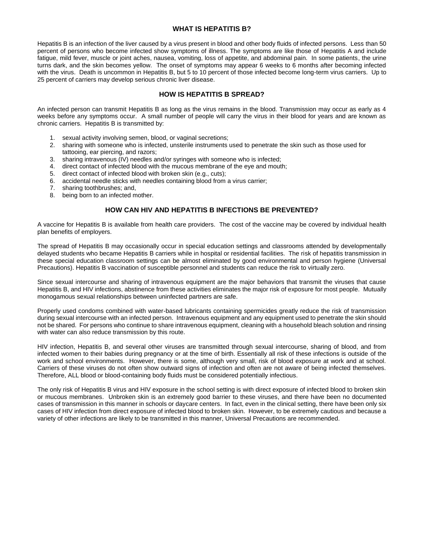#### **WHAT IS HEPATITIS B?**

Hepatitis B is an infection of the liver caused by a virus present in blood and other body fluids of infected persons. Less than 50 percent of persons who become infected show symptoms of illness. The symptoms are like those of Hepatitis A and include fatigue, mild fever, muscle or joint aches, nausea, vomiting, loss of appetite, and abdominal pain. In some patients, the urine turns dark, and the skin becomes yellow. The onset of symptoms may appear 6 weeks to 6 months after becoming infected with the virus. Death is uncommon in Hepatitis B, but 5 to 10 percent of those infected become long-term virus carriers. Up to 25 percent of carriers may develop serious chronic liver disease.

#### **HOW IS HEPATITIS B SPREAD?**

An infected person can transmit Hepatitis B as long as the virus remains in the blood. Transmission may occur as early as 4 weeks before any symptoms occur. A small number of people will carry the virus in their blood for years and are known as chronic carriers. Hepatitis B is transmitted by:

- 1. sexual activity involving semen, blood, or vaginal secretions;
- 2. sharing with someone who is infected, unsterile instruments used to penetrate the skin such as those used for tattooing, ear piercing, and razors;
- 3. sharing intravenous (IV) needles and/or syringes with someone who is infected;
- 4. direct contact of infected blood with the mucous membrane of the eye and mouth;
- 5. direct contact of infected blood with broken skin (e.g., cuts);
- 6. accidental needle sticks with needles containing blood from a virus carrier;
- 7. sharing toothbrushes; and,
- 8. being born to an infected mother.

# **HOW CAN HIV AND HEPATITIS B INFECTIONS BE PREVENTED?**

A vaccine for Hepatitis B is available from health care providers. The cost of the vaccine may be covered by individual health plan benefits of employers.

The spread of Hepatitis B may occasionally occur in special education settings and classrooms attended by developmentally delayed students who became Hepatitis B carriers while in hospital or residential facilities. The risk of hepatitis transmission in these special education classroom settings can be almost eliminated by good environmental and person hygiene (Universal Precautions). Hepatitis B vaccination of susceptible personnel and students can reduce the risk to virtually zero.

Since sexual intercourse and sharing of intravenous equipment are the major behaviors that transmit the viruses that cause Hepatitis B, and HIV infections, abstinence from these activities eliminates the major risk of exposure for most people. Mutually monogamous sexual relationships between uninfected partners are safe.

Properly used condoms combined with water-based lubricants containing spermicides greatly reduce the risk of transmission during sexual intercourse with an infected person. Intravenous equipment and any equipment used to penetrate the skin should not be shared. For persons who continue to share intravenous equipment, cleaning with a household bleach solution and rinsing with water can also reduce transmission by this route.

HIV infection, Hepatitis B, and several other viruses are transmitted through sexual intercourse, sharing of blood, and from infected women to their babies during pregnancy or at the time of birth. Essentially all risk of these infections is outside of the work and school environments. However, there is some, although very small, risk of blood exposure at work and at school. Carriers of these viruses do not often show outward signs of infection and often are not aware of being infected themselves. Therefore, ALL blood or blood-containing body fluids must be considered potentially infectious.

The only risk of Hepatitis B virus and HIV exposure in the school setting is with direct exposure of infected blood to broken skin or mucous membranes. Unbroken skin is an extremely good barrier to these viruses, and there have been no documented cases of transmission in this manner in schools or daycare centers. In fact, even in the clinical setting, there have been only six cases of HIV infection from direct exposure of infected blood to broken skin. However, to be extremely cautious and because a variety of other infections are likely to be transmitted in this manner, Universal Precautions are recommended.